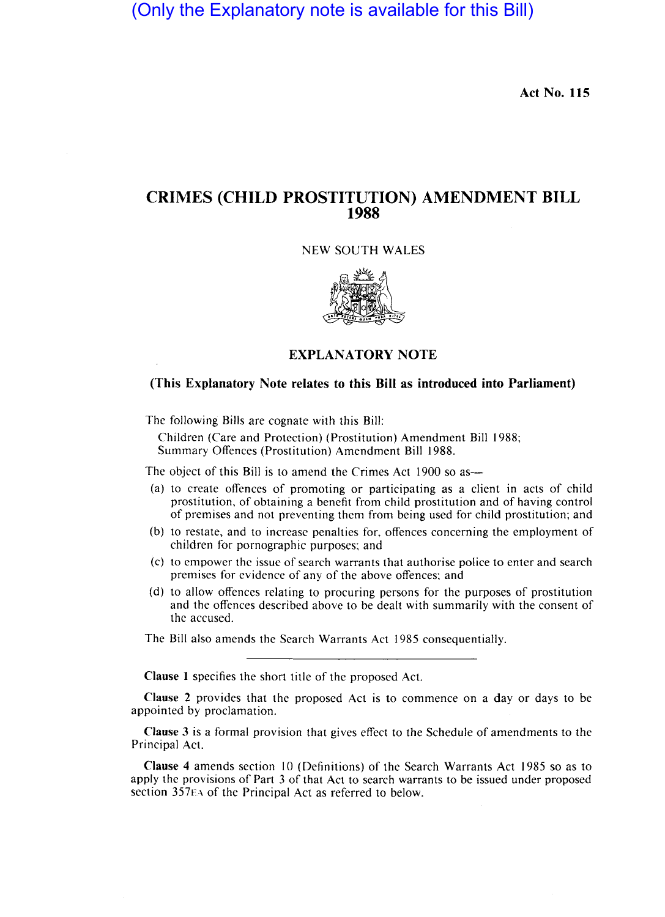(Only the Explanatory note is available for this Bill)

Act No. 115

# CRIMES (CHILD PROSTITUTION) AMENDMENT BILL 1988

NEW SOUTH WALES



## EXPLANATORY NOTE

## (This Explanatory Note relates to this Bill as introduced into Parliament)

The following Bills are cognate with this Bill:

Children (Care and Protection) (Prostitution) Amendment Bill 1988; Summary Offences (Prostitution) Amendment Bill 1988.

The object of this Bill is to amend the Crimes Act 1900 so as-

- (a) to create offences of promoting or participating as a client in acts of child prostitution, of obtaining a benefit from child prostitution and of having control of premises and not preventing them from being used for child prostitution; and
- (b) to restate, and to increase penalties for, offences concerning the employment of children for pornographic purposes; and
- (c) to empower the issue of search warrants that authorise police to enter and search premises for evidence of any of the above offences; and
- (d) to allow offences relating to procuring persons for the purposes of prostitution and the offences described above to be dealt with summarily with the consent of the accused.

The Bill also amends the Search Warrants Act 1985 consequentially.

Clause 1 specifies the short title of the proposed Act.

Clause 2 provides that the proposed Act is to commence on a day or days to be appointed by proclamation.

Clause 3 is a formal provision that gives effect to the Schedule of amendments to the Principal Act.

Clause 4 amends section 10 (Definitions) of the Search Warrants Act 1985 so as to apply the provisions of Part 3 of that Act to search warrants to be issued under proposed section 357EA of the Principal Act as referred to below.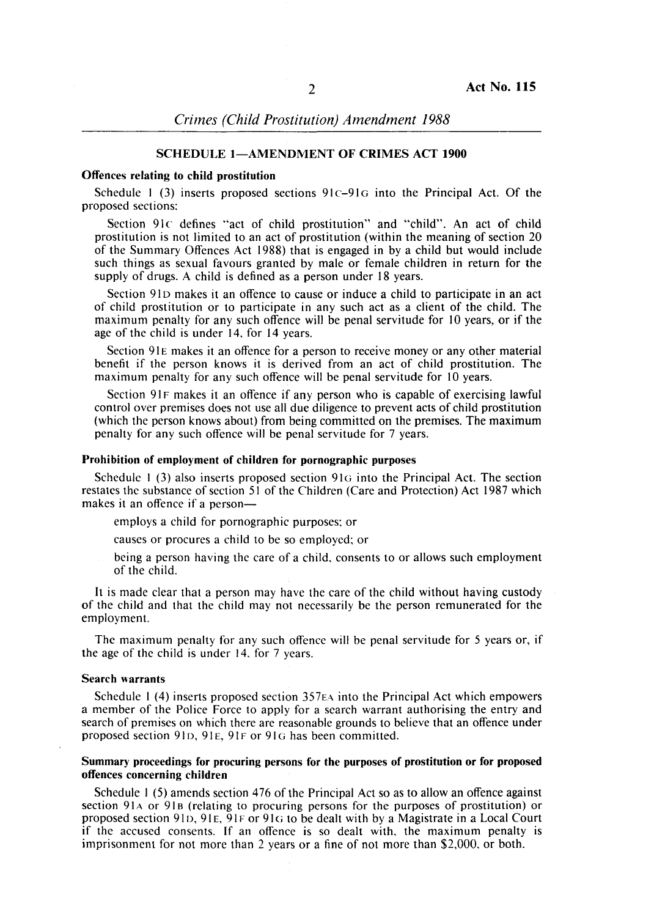## SCHEDULE 1-AMENDMENT OF CRIMES ACT 1900

### Offences relating to child prostitution

Schedule 1 (3) inserts proposed sections  $91c-91G$  into the Principal Act. Of the proposed sections:

Section 91c defines "act of child prostitution" and "child". An act of child prostitution is not limited to an act of prostitution (within the meaning of section 20 of the Summary Offences Act 1988) that is engaged in by a child but would include such things as sexual favours granted by male or female children in return for the supply of drugs. A child is defined as a person under 18 years.

Section 91D makes it an offence to cause or induce a child to participate in an act of child prostitution or to participate in any such act as a client of the child. The maximum penalty for any such offence will be penal servitude for 10 years, or if the age of the child is under 14, for 14 years.

Section 91E makes it an offence for a person to receive money or any other material benefit if the person knows it is erived from an act of child prostitution. The maximum penalty for any such offence will be penal servitude for 10 years.

Section 91F makes it an offence if any person who is capable of exercising lawful control over premises does not use a1l due diligence to prevent acts of child prostitution (which the person knows about) from being committed on the premises. The maximum penalty for any such offence will be penal servitude for 7 years. penalty for any such offence will be enal servitude for 7 years.

#### Prohibition of employment of children for pornographic purposes

Schedule 1  $(3)$  also inserts proposed section 91 $\sigma$  into the Principal Act. The section restates the substance of section 51 of the Children (Care and Protection) Act 1987 which makes it an offence if a person-

employs a child for pornographic purposes; or

- causes or procures a child to be so employed; or
- being a person having the care of a child, consents to or allows such employment of the child.

It is made clear that a person may have the care of the child without having custody of the child and that the child may not necessarily be the person remunerated for the employment.

The maximum penalty for any such offence will be penal servitude for 5 years or, if the age of the child is under 14, for 7 years.

#### Search warrants

Schedule 1 (4) inserts proposed section  $357E\text{A}$  into the Principal Act which empowers a member of the Police Force to apply for a search warrant authorising the entry and search of premises on which there are reasonable grounds to believe that an offence under proposed section 91D, 91E, 91F or 91G has been committed.

### Summary proceedings for procuring persons for the purposes of prostitution or for proposed offences concerning children

Schedule I (5) amends section 476 of the Principal Act so as to allow an offence against section 91A or 91B (relating to procuring persons for the purposes of prostitution) or proposed section 91D, 91E, 91F or 91G to be dealt with by a Magistrate in a Local Court if the accused consents. If an offence is so dealt with, the maximum penalty is imprisonment for not more than 2 years or a fine of not more than \$2,000, or both.